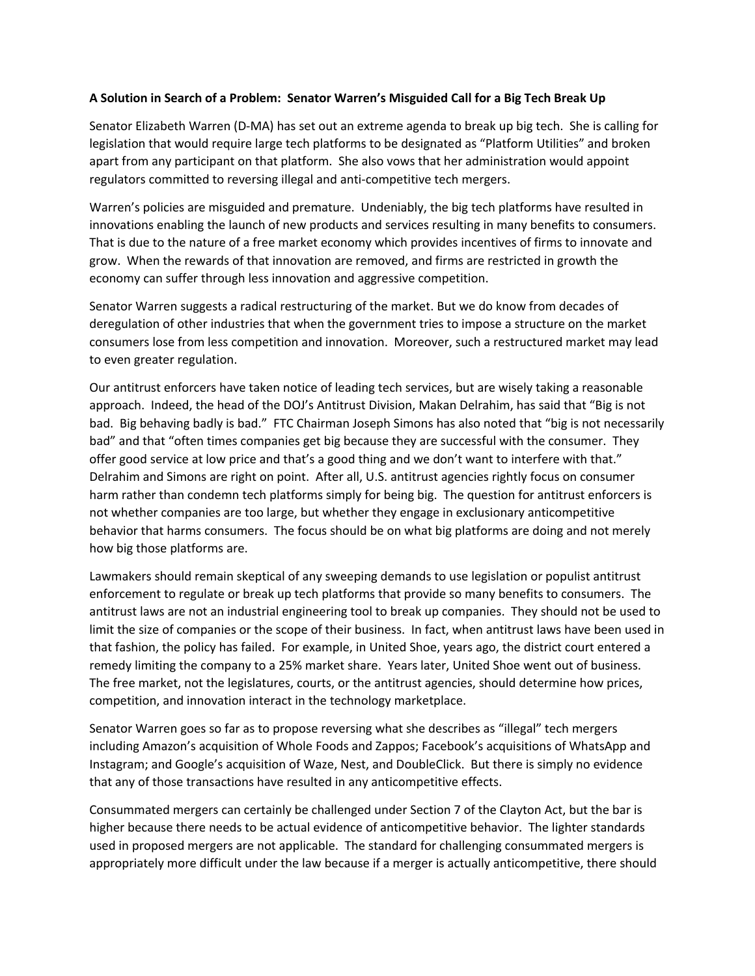## **A Solution in Search of a Problem: Senator Warren's Misguided Call for a Big Tech Break Up**

Senator Elizabeth Warren (D-MA) has set out an extreme agenda to break up big tech. She is calling for legislation that would require large tech platforms to be designated as "Platform Utilities" and broken apart from any participant on that platform. She also vows that her administration would appoint regulators committed to reversing illegal and anti-competitive tech mergers.

Warren's policies are misguided and premature. Undeniably, the big tech platforms have resulted in innovations enabling the launch of new products and services resulting in many benefits to consumers. That is due to the nature of a free market economy which provides incentives of firms to innovate and grow. When the rewards of that innovation are removed, and firms are restricted in growth the economy can suffer through less innovation and aggressive competition.

Senator Warren suggests a radical restructuring of the market. But we do know from decades of deregulation of other industries that when the government tries to impose a structure on the market consumers lose from less competition and innovation. Moreover, such a restructured market may lead to even greater regulation.

Our antitrust enforcers have taken notice of leading tech services, but are wisely taking a reasonable approach. Indeed, the head of the DOJ's Antitrust Division, Makan Delrahim, has said that "Big is not bad. Big behaving badly is bad." FTC Chairman Joseph Simons has also noted that "big is not necessarily bad" and that "often times companies get big because they are successful with the consumer. They offer good service at low price and that's a good thing and we don't want to interfere with that." Delrahim and Simons are right on point. After all, U.S. antitrust agencies rightly focus on consumer harm rather than condemn tech platforms simply for being big. The question for antitrust enforcers is not whether companies are too large, but whether they engage in exclusionary anticompetitive behavior that harms consumers. The focus should be on what big platforms are doing and not merely how big those platforms are.

Lawmakers should remain skeptical of any sweeping demands to use legislation or populist antitrust enforcement to regulate or break up tech platforms that provide so many benefits to consumers. The antitrust laws are not an industrial engineering tool to break up companies. They should not be used to limit the size of companies or the scope of their business. In fact, when antitrust laws have been used in that fashion, the policy has failed. For example, in United Shoe, years ago, the district court entered a remedy limiting the company to a 25% market share. Years later, United Shoe went out of business. The free market, not the legislatures, courts, or the antitrust agencies, should determine how prices, competition, and innovation interact in the technology marketplace.

Senator Warren goes so far as to propose reversing what she describes as "illegal" tech mergers including Amazon's acquisition of Whole Foods and Zappos; Facebook's acquisitions of WhatsApp and Instagram; and Google's acquisition of Waze, Nest, and DoubleClick. But there is simply no evidence that any of those transactions have resulted in any anticompetitive effects.

Consummated mergers can certainly be challenged under Section 7 of the Clayton Act, but the bar is higher because there needs to be actual evidence of anticompetitive behavior. The lighter standards used in proposed mergers are not applicable. The standard for challenging consummated mergers is appropriately more difficult under the law because if a merger is actually anticompetitive, there should